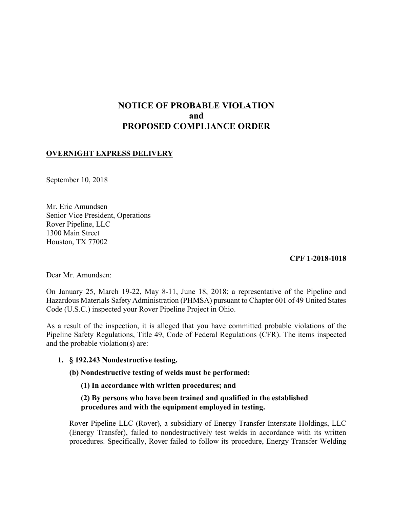# NOTICE OF PROBABLE VIOLATION and PROPOSED COMPLIANCE ORDER

## OVERNIGHT EXPRESS DELIVERY

September 10, 2018

 Mr. Eric Amundsen Senior Vice President, Operations Rover Pipeline, LLC 1300 Main Street Houston, TX 77002

CPF 1-2018-1018

Dear Mr. Amundsen:

 On January 25, March 19-22, May 8-11, June 18, 2018; a representative of the Pipeline and Hazardous Materials Safety Administration (PHMSA) pursuant to Chapter 601 of 49 United States Code (U.S.C.) inspected your Rover Pipeline Project in Ohio.

 As a result of the inspection, it is alleged that you have committed probable violations of the Pipeline Safety Regulations, Title 49, Code of Federal Regulations (CFR). The items inspected and the probable violation(s) are:

1. § 192.243 Nondestructive testing.

(b) Nondestructive testing of welds must be performed:

(1) In accordance with written procedures; and

(2) By persons who have been trained and qualified in the established procedures and with the equipment employed in testing.

 Rover Pipeline LLC (Rover), a subsidiary of Energy Transfer Interstate Holdings, LLC (Energy Transfer), failed to nondestructively test welds in accordance with its written procedures. Specifically, Rover failed to follow its procedure, Energy Transfer Welding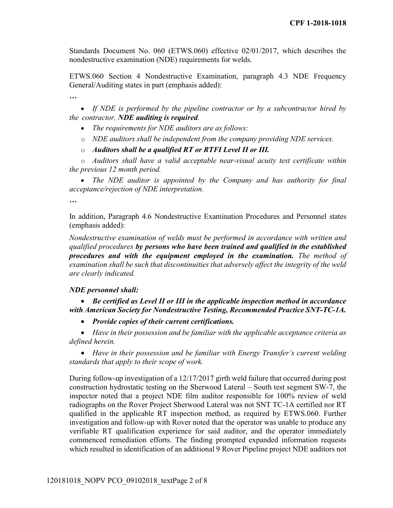Standards Document No. 060 (ETWS.060) effective 02/01/2017, which describes the nondestructive examination (NDE) requirements for welds.

 ETWS.060 Section 4 Nondestructive Examination, paragraph 4.3 NDE Frequency General/Auditing states in part (emphasis added):

…

• If NDE is performed by the pipeline contractor or by a subcontractor hired by the contractor, NDE auditing is required.

- The requirements for NDE auditors are as follows:
- $\circ$  NDE auditors shall be independent from the company providing NDE services.
- $\circ$  Auditors shall be a qualified RT or RTFI Level II or III.

 o Auditors shall have a valid acceptable near-visual acuity test certificate within the previous 12 month period.

• The NDE auditor is appointed by the Company and has authority for final acceptance/rejection of NDE interpretation.

…

 In addition, Paragraph 4.6 Nondestructive Examination Procedures and Personnel states (emphasis added):

 Nondestructive examination of welds must be performed in accordance with written and qualified procedures by persons who have been trained and qualified in the established procedures and with the equipment employed in the examination. The method of examination shall be such that discontinuities that adversely affect the integrity of the weld are clearly indicated.

### NDE personnel shall:

• Be certified as Level II or III in the applicable inspection method in accordance with American Society for Nondestructive Testing, Recommended Practice SNT-TC-1A.

• Provide copies of their current certifications.

 Have in their possession and be familiar with the applicable acceptance criteria as defined herein.

• Have in their possession and be familiar with Energy Transfer's current welding standards that apply to their scope of work.

 During follow-up investigation of a 12/17/2017 girth weld failure that occurred during post construction hydrostatic testing on the Sherwood Lateral – South test segment SW-7, the inspector noted that a project NDE film auditor responsible for 100% review of weld radiographs on the Rover Project Sherwood Lateral was not SNT TC-1A certified nor RT qualified in the applicable RT inspection method, as required by ETWS.060. Further investigation and follow-up with Rover noted that the operator was unable to produce any verifiable RT qualification experience for said auditor, and the operator immediately commenced remediation efforts. The finding prompted expanded information requests which resulted in identification of an additional 9 Rover Pipeline project NDE auditors not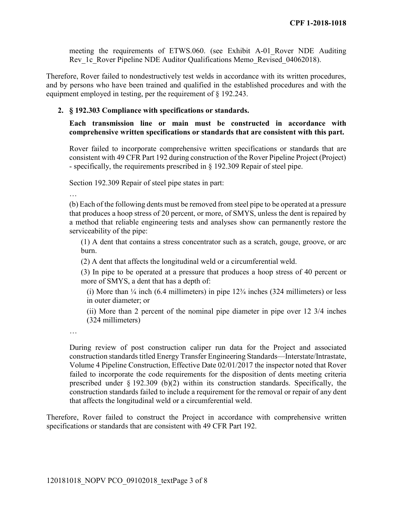meeting the requirements of ETWS.060. (see Exhibit A-01\_Rover NDE Auditing Rev\_1c\_Rover Pipeline NDE Auditor Qualifications Memo\_Revised\_04062018).

 Therefore, Rover failed to nondestructively test welds in accordance with its written procedures, and by persons who have been trained and qualified in the established procedures and with the equipment employed in testing, per the requirement of § 192.243.

### 2. § 192.303 Compliance with specifications or standards.

## comprehensive written specifications or standards that are consistent with this part. Each transmission line or main must be constructed in accordance with

 Rover failed to incorporate comprehensive written specifications or standards that are consistent with 49 CFR Part 192 during construction of the Rover Pipeline Project (Project) - specifically, the requirements prescribed in § 192.309 Repair of steel pipe.

Section 192.309 Repair of steel pipe states in part:

…

 (b) Each of the following dents must be removed from steel pipe to be operated at a pressure that produces a hoop stress of 20 percent, or more, of SMYS, unless the dent is repaired by a method that reliable engineering tests and analyses show can permanently restore the serviceability of the pipe:

 (1) A dent that contains a stress concentrator such as a scratch, gouge, groove, or arc burn.

(2) A dent that affects the longitudinal weld or a circumferential weld.

 (3) In pipe to be operated at a pressure that produces a hoop stress of 40 percent or more of SMYS, a dent that has a depth of:

(i) More than  $\frac{1}{4}$  inch (6.4 millimeters) in pipe 12 $\frac{3}{4}$  inches (324 millimeters) or less in outer diameter; or

 (ii) More than 2 percent of the nominal pipe diameter in pipe over 12 3/4 inches (324 millimeters)

…

 During review of post construction caliper run data for the Project and associated construction standards titled Energy Transfer Engineering Standards—Interstate/Intrastate, Volume 4 Pipeline Construction, Effective Date 02/01/2017 the inspector noted that Rover failed to incorporate the code requirements for the disposition of dents meeting criteria prescribed under § 192.309 (b)(2) within its construction standards. Specifically, the construction standards failed to include a requirement for the removal or repair of any dent that affects the longitudinal weld or a circumferential weld.

 Therefore, Rover failed to construct the Project in accordance with comprehensive written specifications or standards that are consistent with 49 CFR Part 192.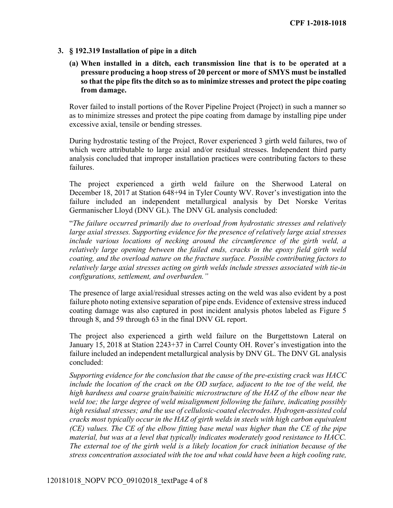## 3. § 192.319 Installation of pipe in a ditch

 (a) When installed in a ditch, each transmission line that is to be operated at a pressure producing a hoop stress of 20 percent or more of SMYS must be installed so that the pipe fits the ditch so as to minimize stresses and protect the pipe coating from damage.

 Rover failed to install portions of the Rover Pipeline Project (Project) in such a manner so as to minimize stresses and protect the pipe coating from damage by installing pipe under excessive axial, tensile or bending stresses.

 During hydrostatic testing of the Project, Rover experienced 3 girth weld failures, two of which were attributable to large axial and/or residual stresses. Independent third party analysis concluded that improper installation practices were contributing factors to these failures.

 The project experienced a girth weld failure on the Sherwood Lateral on December 18, 2017 at Station 648+94 in Tyler County WV. Rover's investigation into the failure included an independent metallurgical analysis by Det Norske Veritas Germanischer Lloyd (DNV GL). The DNV GL analysis concluded:

 "The failure occurred primarily due to overload from hydrostatic stresses and relatively large axial stresses. Supporting evidence for the presence of relatively large axial stresses include various locations of necking around the circumference of the girth weld, a relatively large opening between the failed ends, cracks in the epoxy field girth weld coating, and the overload nature on the fracture surface. Possible contributing factors to relatively large axial stresses acting on girth welds include stresses associated with tie-in configurations, settlement, and overburden."

 The presence of large axial/residual stresses acting on the weld was also evident by a post failure photo noting extensive separation of pipe ends. Evidence of extensive stress induced coating damage was also captured in post incident analysis photos labeled as Figure 5 through 8, and 59 through 63 in the final DNV GL report.

 The project also experienced a girth weld failure on the Burgettstown Lateral on January 15, 2018 at Station 2243+37 in Carrel County OH. Rover's investigation into the failure included an independent metallurgical analysis by DNV GL. The DNV GL analysis concluded:

 Supporting evidence for the conclusion that the cause of the pre-existing crack was HACC include the location of the crack on the OD surface, adjacent to the toe of the weld, the high hardness and coarse grain/bainitic microstructure of the HAZ of the elbow near the weld toe; the large degree of weld misalignment following the failure, indicating possibly high residual stresses; and the use of cellulosic-coated electrodes. Hydrogen-assisted cold cracks most typically occur in the HAZ of girth welds in steels with high carbon equivalent (CE) values. The CE of the elbow fitting base metal was higher than the CE of the pipe material, but was at a level that typically indicates moderately good resistance to HACC. The external toe of the girth weld is a likely location for crack initiation because of the stress concentration associated with the toe and what could have been a high cooling rate,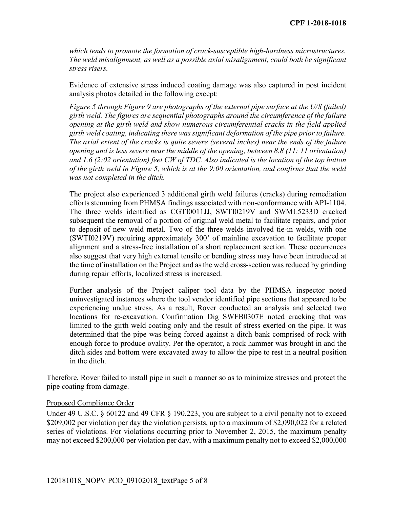which tends to promote the formation of crack-susceptible high-hardness microstructures. The weld misalignment, as well as a possible axial misalignment, could both be significant stress risers.

 Evidence of extensive stress induced coating damage was also captured in post incident analysis photos detailed in the following except:

 Figure 5 through Figure 9 are photographs of the external pipe surface at the U/S (failed) girth weld. The figures are sequential photographs around the circumference of the failure opening at the girth weld and show numerous circumferential cracks in the field applied girth weld coating, indicating there was significant deformation of the pipe prior to failure. The axial extent of the cracks is quite severe (several inches) near the ends of the failure opening and is less severe near the middle of the opening, between 8.8 (11: 11 orientation) of the girth weld in Figure 5, which is at the 9:00 orientation, and confirms that the weld was not completed in the ditch. and 1.6 (2:02 orientation) feet CW of TDC. Also indicated is the location of the top button

 The project also experienced 3 additional girth weld failures (cracks) during remediation efforts stemming from PHMSA findings associated with non-conformance with API-1104. The three welds identified as CGTI0011JJ, SWTI0219V and SWML5233D cracked subsequent the removal of a portion of original weld metal to facilitate repairs, and prior to deposit of new weld metal. Two of the three welds involved tie-in welds, with one (SWTI0219V) requiring approximately 300' of mainline excavation to facilitate proper alignment and a stress-free installation of a short replacement section. These occurrences also suggest that very high external tensile or bending stress may have been introduced at the time of installation on the Project and as the weld cross-section was reduced by grinding during repair efforts, localized stress is increased.

 Further analysis of the Project caliper tool data by the PHMSA inspector noted uninvestigated instances where the tool vendor identified pipe sections that appeared to be experiencing undue stress. As a result, Rover conducted an analysis and selected two locations for re-excavation. Confirmation Dig SWFB0307E noted cracking that was limited to the girth weld coating only and the result of stress exerted on the pipe. It was determined that the pipe was being forced against a ditch bank comprised of rock with enough force to produce ovality. Per the operator, a rock hammer was brought in and the ditch sides and bottom were excavated away to allow the pipe to rest in a neutral position in the ditch.

 Therefore, Rover failed to install pipe in such a manner so as to minimize stresses and protect the pipe coating from damage.

#### Proposed Compliance Order

Under 49 U.S.C. § 60122 and 49 CFR § 190.223, you are subject to a civil penalty not to exceed \$209,002 per violation per day the violation persists, up to a maximum of \$2,090,022 for a related series of violations. For violations occurring prior to November 2, 2015, the maximum penalty may not exceed \$200,000 per violation per day, with a maximum penalty not to exceed \$2,000,000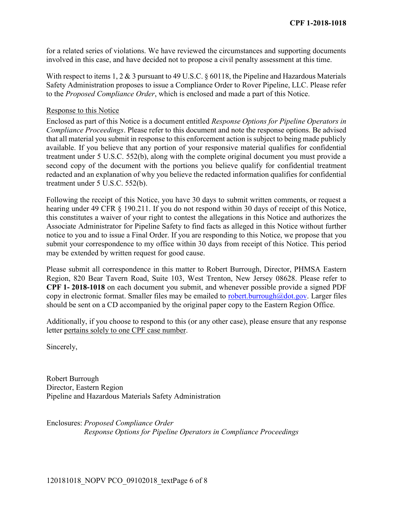for a related series of violations. We have reviewed the circumstances and supporting documents involved in this case, and have decided not to propose a civil penalty assessment at this time.

With respect to items 1, 2 & 3 pursuant to 49 U.S.C. § 60118, the Pipeline and Hazardous Materials Safety Administration proposes to issue a Compliance Order to Rover Pipeline, LLC. Please refer to the Proposed Compliance Order, which is enclosed and made a part of this Notice.

### Response to this Notice

 Enclosed as part of this Notice is a document entitled Response Options for Pipeline Operators in Compliance Proceedings. Please refer to this document and note the response options. Be advised that all material you submit in response to this enforcement action is subject to being made publicly available. If you believe that any portion of your responsive material qualifies for confidential treatment under 5 U.S.C. 552(b), along with the complete original document you must provide a second copy of the document with the portions you believe qualify for confidential treatment redacted and an explanation of why you believe the redacted information qualifies for confidential treatment under 5 U.S.C. 552(b).

 Following the receipt of this Notice, you have 30 days to submit written comments, or request a hearing under 49 CFR § 190.211. If you do not respond within 30 days of receipt of this Notice, this constitutes a waiver of your right to contest the allegations in this Notice and authorizes the Associate Administrator for Pipeline Safety to find facts as alleged in this Notice without further notice to you and to issue a Final Order. If you are responding to this Notice, we propose that you submit your correspondence to my office within 30 days from receipt of this Notice. This period may be extended by written request for good cause.

 Please submit all correspondence in this matter to Robert Burrough, Director, PHMSA Eastern Region, 820 Bear Tavern Road, Suite 103, West Trenton, New Jersey 08628. Please refer to CPF 1- 2018-1018 on each document you submit, and whenever possible provide a signed PDF copy in electronic format. Smaller files may be emailed to **robert.burrough@dot.gov**. Larger files should be sent on a CD accompanied by the original paper copy to the Eastern Region Office.

 Additionally, if you choose to respond to this (or any other case), please ensure that any response letter pertains solely to one CPF case number.

Sincerely,

 Robert Burrough Director, Eastern Region Pipeline and Hazardous Materials Safety Administration

 Enclosures: Proposed Compliance Order Response Options for Pipeline Operators in Compliance Proceedings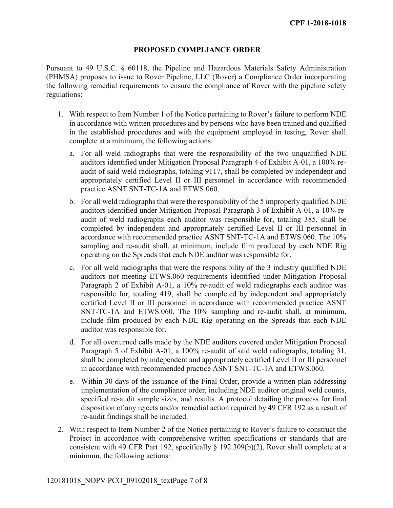## PROPOSED COMPLIANCE ORDER

 Pursuant to 49 U.S.C. § 60118, the Pipeline and Hazardous Materials Safety Administration (PHMSA) proposes to issue to Rover Pipeline, LLC (Rover) a Compliance Order incorporating the following remedial requirements to ensure the compliance of Rover with the pipeline safety regulations:

- 1. With respect to Item Number 1 of the Notice pertaining to Rover's failure to perform NDE in accordance with written procedures and by persons who have been trained and qualified in the established procedures and with the equipment employed in testing, Rover shall complete at a minimum, the following actions:
	- a. For all weld radiographs that were the responsibility of the two unqualified NDE auditors identified under Mitigation Proposal Paragraph 4 of Exhibit A-01, a 100% re- audit of said weld radiographs, totaling 9117, shall be completed by independent and appropriately certified Level II or III personnel in accordance with recommended practice ASNT SNT-TC-1A and ETWS.060.
	- b. For all weld radiographs that were the responsibility of the 5 improperly qualified NDE auditors identified under Mitigation Proposal Paragraph 3 of Exhibit A-01, a 10% re- audit of weld radiographs each auditor was responsible for, totaling 385, shall be completed by independent and appropriately certified Level II or III personnel in accordance with recommended practice ASNT SNT-TC-1A and ETWS.060. The 10% sampling and re-audit shall, at minimum, include film produced by each NDE Rig operating on the Spreads that each NDE auditor was responsible for.
	- c. For all weld radiographs that were the responsibility of the 3 industry qualified NDE auditors not meeting ETWS.060 requirements identified under Mitigation Proposal Paragraph 2 of Exhibit A-01, a 10% re-audit of weld radiographs each auditor was responsible for, totaling 419, shall be completed by independent and appropriately certified Level II or III personnel in accordance with recommended practice ASNT SNT-TC-1A and ETWS.060. The 10% sampling and re-audit shall, at minimum, include film produced by each NDE Rig operating on the Spreads that each NDE auditor was responsible for.
	- d. For all overturned calls made by the NDE auditors covered under Mitigation Proposal Paragraph 5 of Exhibit A-01, a 100% re-audit of said weld radiographs, totaling 31, shall be completed by independent and appropriately certified Level II or III personnel in accordance with recommended practice ASNT SNT-TC-1A and ETWS.060.
	- e. Within 30 days of the issuance of the Final Order, provide a written plan addressing implementation of the compliance order, including NDE auditor original weld counts, specified re-audit sample sizes, and results. A protocol detailing the process for final disposition of any rejects and/or remedial action required by 49 CFR 192 as a result of re-audit findings shall be included.
- 2. With respect to Item Number 2 of the Notice pertaining to Rover's failure to construct the Project in accordance with comprehensive written specifications or standards that are consistent with 49 CFR Part 192, specifically § 192.309(b)(2), Rover shall complete at a minimum, the following actions: